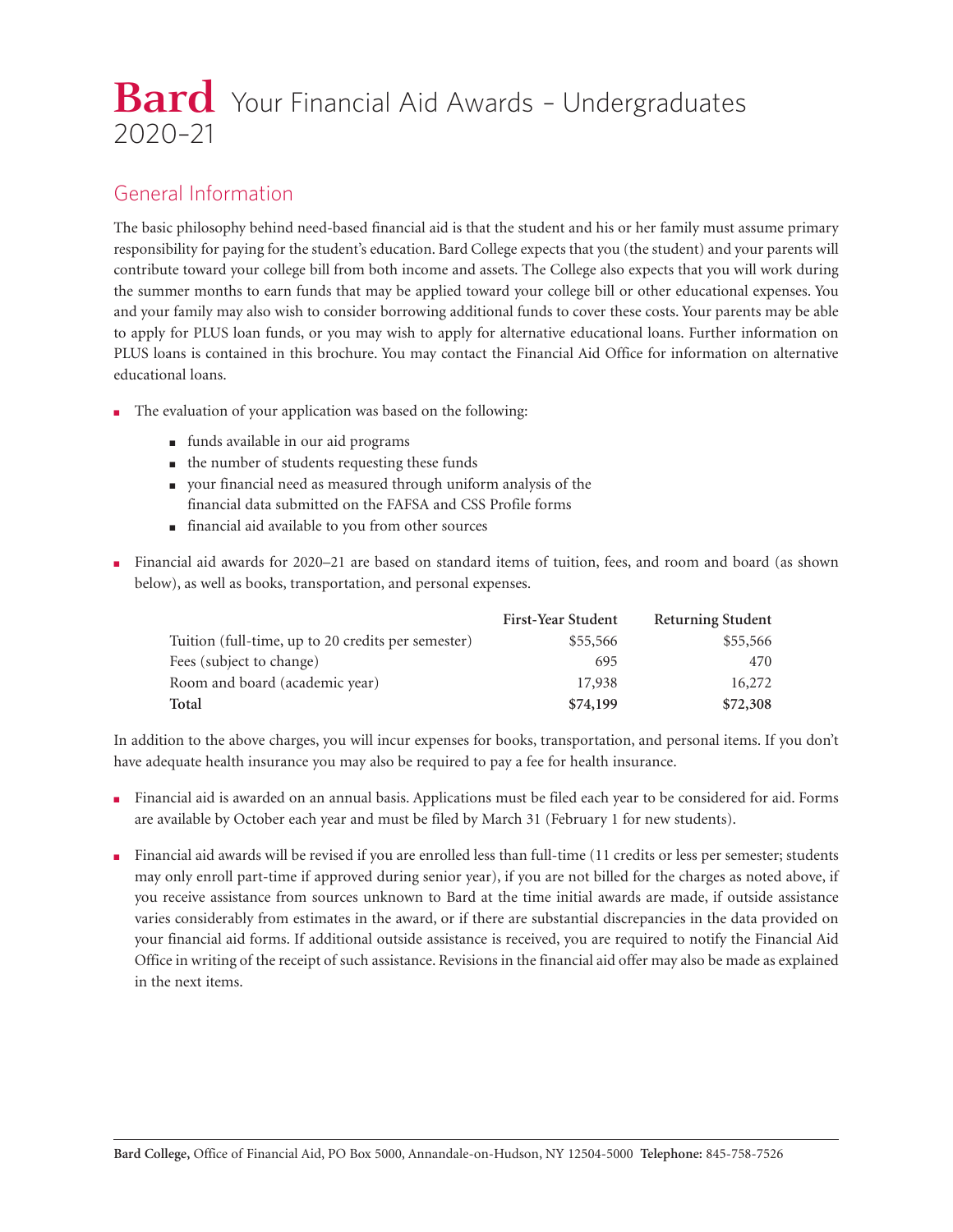# **Bard** Your Financial Aid Awards - Undergraduates 2020–21

## General Information

The basic philosophy behind need-based financial aid is that the student and his or her family must assume primary responsibility for paying for the student's education. Bard College expects that you (the student) and your parents will contribute toward your college bill from both income and assets. The College also expects that you will work during the summer months to earn funds that may be applied toward your college bill or other educational expenses. You and your family may also wish to consider borrowing additional funds to cover these costs. Your parents may be able to apply for PLUS loan funds, or you may wish to apply for alternative educational loans. Further information on PLUS loans is contained in this brochure. You may contact the Financial Aid Office for information on alternative educational loans.

- The evaluation of your application was based on the following:
	- funds available in our aid programs
	- the number of students requesting these funds
	- your financial need as measured through uniform analysis of the financial data submitted on the FAFSA and CSS Profile forms
	- financial aid available to you from other sources
- Financial aid awards for 2020–21 are based on standard items of tuition, fees, and room and board (as shown below), as well as books, transportation, and personal expenses.

|                                                    | <b>First-Year Student</b> | <b>Returning Student</b> |
|----------------------------------------------------|---------------------------|--------------------------|
| Tuition (full-time, up to 20 credits per semester) | \$55,566                  | \$55,566                 |
| Fees (subject to change)                           | 695                       | 470                      |
| Room and board (academic year)                     | 17,938                    | 16,272                   |
| Total                                              | \$74,199                  | \$72,308                 |

In addition to the above charges, you will incur expenses for books, transportation, and personal items. If you don't have adequate health insurance you may also be required to pay a fee for health insurance.

- Financial aid is awarded on an annual basis. Applications must be filed each year to be considered for aid. Forms are available by October each year and must be filed by March 31 (February 1 for new students).
- Financial aid awards will be revised if you are enrolled less than full-time (11 credits or less per semester; students may only enroll part-time if approved during senior year), if you are not billed for the charges as noted above, if you receive assistance from sources unknown to Bard at the time initial awards are made, if outside assistance varies considerably from estimates in the award, or if there are substantial discrepancies in the data provided on your financial aid forms. If additional outside assistance is received, you are required to notify the Financial Aid Office in writing of the receipt of such assistance. Revisions in the financial aid offer may also be made as explained in the next items.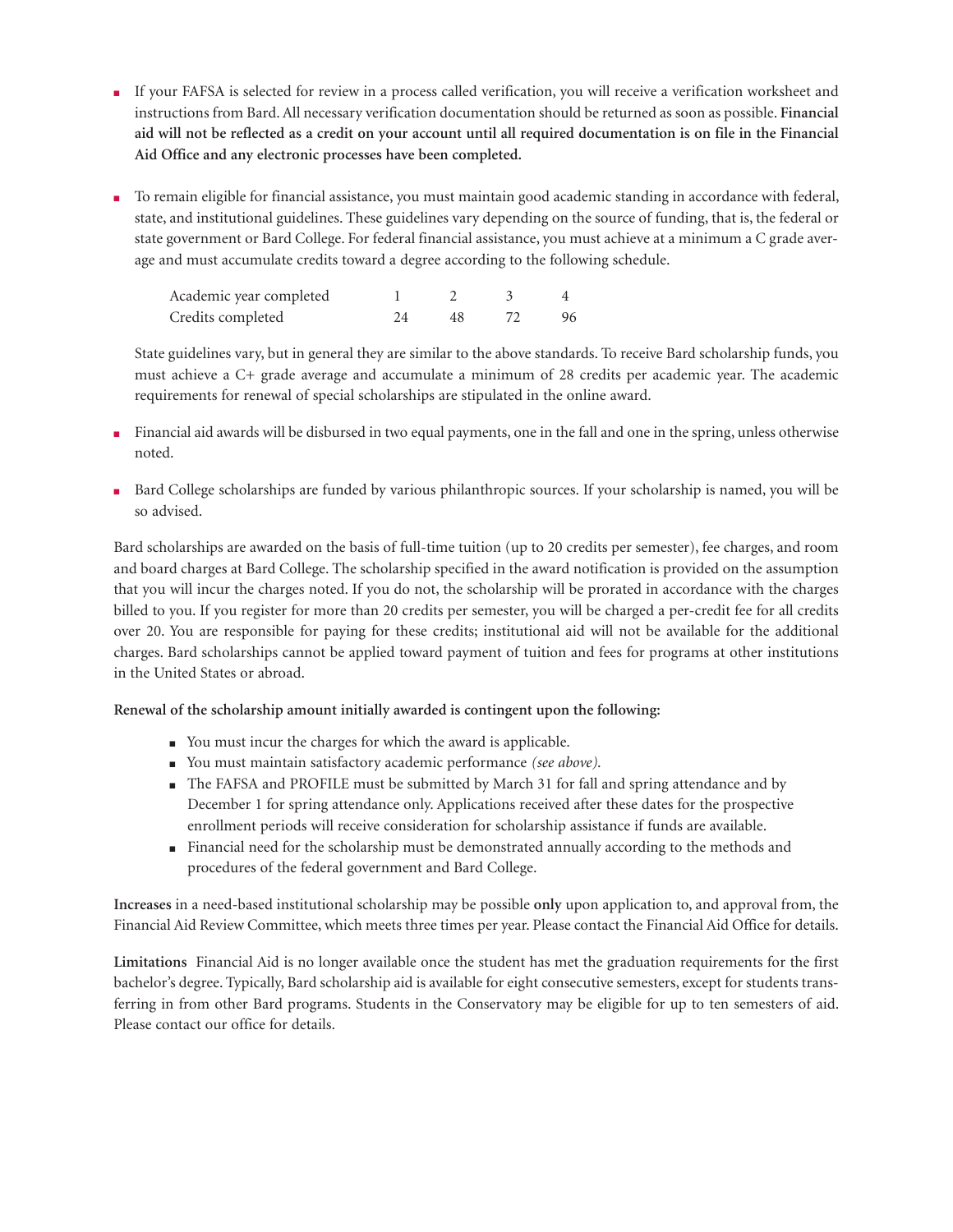- If your FAFSA is selected for review in a process called verification, you will receive a verification worksheet and instructions from Bard. All necessary verification documentation should be returned as soon as possible. **Financial aid will not be reflected as a credit on your account until all required documentation is on file in the Financial Aid Office and any electronic processes have been completed.**
- To remain eligible for financial assistance, you must maintain good academic standing in accordance with federal, state, and institutional guidelines. These guidelines vary depending on the source of funding, that is, the federal or state government or Bard College. For federal financial assistance, you must achieve at a minimum a C grade average and must accumulate credits toward a degree according to the following schedule.

| Academic year completed |    |    |
|-------------------------|----|----|
| Credits completed       | 48 | 96 |

State guidelines vary, but in general they are similar to the above standards. To receive Bard scholarship funds, you must achieve a C+ grade average and accumulate a minimum of 28 credits per academic year. The academic requirements for renewal of special scholarships are stipulated in the online award.

- Financial aid awards will be disbursed in two equal payments, one in the fall and one in the spring, unless otherwise noted.
- Bard College scholarships are funded by various philanthropic sources. If your scholarship is named, you will be so advised.

Bard scholarships are awarded on the basis of full-time tuition (up to 20 credits per semester), fee charges, and room and board charges at Bard College. The scholarship specified in the award notification is provided on the assumption that you will incur the charges noted. If you do not, the scholarship will be prorated in accordance with the charges billed to you. If you register for more than 20 credits per semester, you will be charged a per-credit fee for all credits over 20. You are responsible for paying for these credits; institutional aid will not be available for the additional charges. Bard scholarships cannot be applied toward payment of tuition and fees for programs at other institutions in the United States or abroad.

#### **Renewal of the scholarship amount initially awarded is contingent upon the following:**

- You must incur the charges for which the award is applicable.
- You must maintain satisfactory academic performance *(see above)*.
- The FAFSA and PROFILE must be submitted by March 31 for fall and spring attendance and by December 1 for spring attendance only. Applications received after these dates for the prospective enrollment periods will receive consideration for scholarship assistance if funds are available.
- Financial need for the scholarship must be demonstrated annually according to the methods and procedures of the federal government and Bard College.

**Increases** in a need-based institutional scholarship may be possible **only** upon application to, and approval from, the Financial Aid Review Committee, which meets three times per year. Please contact the Financial Aid Office for details.

**Limitations** Financial Aid is no longer available once the student has met the graduation requirements for the first bachelor's degree. Typically, Bard scholarship aid is available for eight consecutive semesters, except for students transferring in from other Bard programs. Students in the Conservatory may be eligible for up to ten semesters of aid. Please contact our office for details.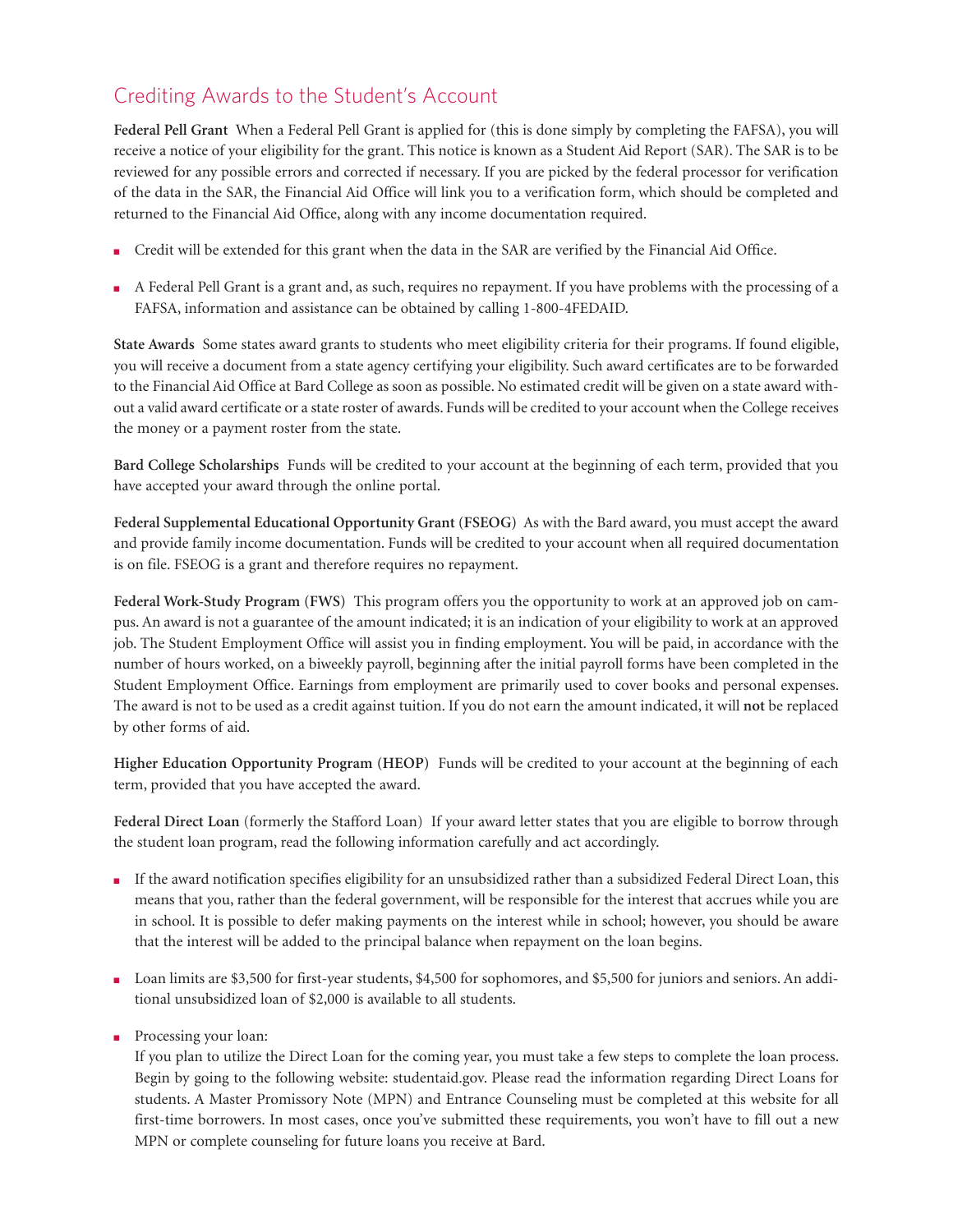# Crediting Awards to the Student's Account

**Federal Pell Grant** When a Federal Pell Grant is applied for (this is done simply by completing the FAFSA), you will receive a notice of your eligibility for the grant. This notice is known as a Student Aid Report (SAR). The SAR is to be reviewed for any possible errors and corrected if necessary. If you are picked by the federal processor for verification of the data in the SAR, the Financial Aid Office will link you to a verification form, which should be completed and returned to the Financial Aid Office, along with any income documentation required.

- Credit will be extended for this grant when the data in the SAR are verified by the Financial Aid Office.
- A Federal Pell Grant is a grant and, as such, requires no repayment. If you have problems with the processing of a FAFSA, information and assistance can be obtained by calling 1-800-4FEDAID.

**State Awards** Some states award grants to students who meet eligibility criteria for their programs. If found eligible, you will receive a document from a state agency certifying your eligibility. Such award certificates are to be forwarded to the Financial Aid Office at Bard College as soon as possible. No estimated credit will be given on a state award without a valid award certificate or a state roster of awards. Funds will be credited to your account when the College receives the money or a payment roster from the state.

**Bard College Scholarships** Funds will be credited to your account at the beginning of each term, provided that you have accepted your award through the online portal.

**Federal Supplemental Educational Opportunity Grant (FSEOG)** As with the Bard award, you must accept the award and provide family income documentation. Funds will be credited to your account when all required documentation is on file. FSEOG is a grant and therefore requires no repayment.

**Federal Work-Study Program (FWS)** This program offers you the opportunity to work at an approved job on campus. An award is not a guarantee of the amount indicated; it is an indication of your eligibility to work at an approved job. The Student Employment Office will assist you in finding employment. You will be paid, in accordance with the number of hours worked, on a biweekly payroll, beginning after the initial payroll forms have been completed in the Student Employment Office. Earnings from employment are primarily used to cover books and personal expenses. The award is not to be used as a credit against tuition. If you do not earn the amount indicated, it will **not** be replaced by other forms of aid.

**Higher Education Opportunity Program (HEOP)** Funds will be credited to your account at the beginning of each term, provided that you have accepted the award.

**Federal Direct Loan** (formerly the Stafford Loan) If your award letter states that you are eligible to borrow through the student loan program, read the following information carefully and act accordingly.

- If the award notification specifies eligibility for an unsubsidized rather than a subsidized Federal Direct Loan, this means that you, rather than the federal government, will be responsible for the interest that accrues while you are in school. It is possible to defer making payments on the interest while in school; however, you should be aware that the interest will be added to the principal balance when repayment on the loan begins.
- Loan limits are \$3,500 for first-year students, \$4,500 for sophomores, and \$5,500 for juniors and seniors. An additional unsubsidized loan of \$2,000 is available to all students.
- Processing your loan:

If you plan to utilize the Direct Loan for the coming year, you must take a few steps to complete the loan process. Begin by going to the following website: [studentaid.gov.](studentaid.gov) Please read the information regarding Direct Loans for students. A Master Promissory Note (MPN) and Entrance Counseling must be completed at this website for all first-time borrowers. In most cases, once you've submitted these requirements, you won't have to fill out a new MPN or complete counseling for future loans you receive at Bard.